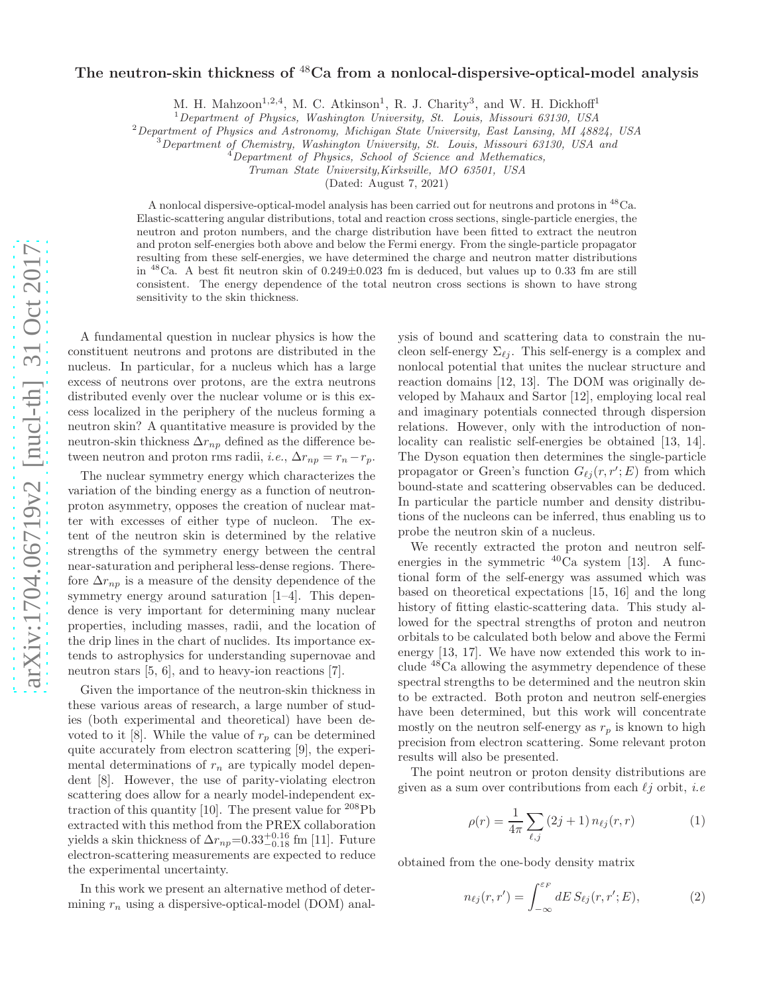## arXiv:1704.06719v2 [nucl-th] 31 Oct 2017 [arXiv:1704.06719v2 \[nucl-th\] 31 Oct 2017](http://arxiv.org/abs/1704.06719v2)

## The neutron-skin thickness of  ${}^{48}$ Ca from a nonlocal-dispersive-optical-model analysis

M. H. Mahzoon<sup>1,2,4</sup>, M. C. Atkinson<sup>1</sup>, R. J. Charity<sup>3</sup>, and W. H. Dickhoff<sup>1</sup>

 $1$ Department of Physics, Washington University, St. Louis, Missouri 63130, USA

<sup>2</sup>Department of Physics and Astronomy, Michigan State University, East Lansing, MI 48824, USA

 $3$ Department of Chemistry, Washington University, St. Louis, Missouri 63130, USA and

 $4$ Department of Physics, School of Science and Methematics,

Truman State University,Kirksville, MO 63501, USA

(Dated: August 7, 2021)

A nonlocal dispersive-optical-model analysis has been carried out for neutrons and protons in <sup>48</sup>Ca. Elastic-scattering angular distributions, total and reaction cross sections, single-particle energies, the neutron and proton numbers, and the charge distribution have been fitted to extract the neutron and proton self-energies both above and below the Fermi energy. From the single-particle propagator resulting from these self-energies, we have determined the charge and neutron matter distributions in  $^{48}$ Ca. A best fit neutron skin of  $0.249\pm0.023$  fm is deduced, but values up to 0.33 fm are still consistent. The energy dependence of the total neutron cross sections is shown to have strong sensitivity to the skin thickness.

A fundamental question in nuclear physics is how the constituent neutrons and protons are distributed in the nucleus. In particular, for a nucleus which has a large excess of neutrons over protons, are the extra neutrons distributed evenly over the nuclear volume or is this excess localized in the periphery of the nucleus forming a neutron skin? A quantitative measure is provided by the neutron-skin thickness  $\Delta r_{np}$  defined as the difference between neutron and proton rms radii, *i.e.*,  $\Delta r_{np} = r_n - r_p$ .

The nuclear symmetry energy which characterizes the variation of the binding energy as a function of neutronproton asymmetry, opposes the creation of nuclear matter with excesses of either type of nucleon. The extent of the neutron skin is determined by the relative strengths of the symmetry energy between the central near-saturation and peripheral less-dense regions. Therefore  $\Delta r_{np}$  is a measure of the density dependence of the symmetry energy around saturation [1–4]. This dependence is very important for determining many nuclear properties, including masses, radii, and the location of the drip lines in the chart of nuclides. Its importance extends to astrophysics for understanding supernovae and neutron stars [5, 6], and to heavy-ion reactions [7].

Given the importance of the neutron-skin thickness in these various areas of research, a large number of studies (both experimental and theoretical) have been devoted to it [8]. While the value of  $r_p$  can be determined quite accurately from electron scattering [9], the experimental determinations of  $r_n$  are typically model dependent [8]. However, the use of parity-violating electron scattering does allow for a nearly model-independent extraction of this quantity [10]. The present value for  $208Pb$ extracted with this method from the PREX collaboration yields a skin thickness of  $\Delta r_{np}$ =0.33<sup>+0.16</sup> fm [11]. Future electron-scattering measurements are expected to reduce the experimental uncertainty.

In this work we present an alternative method of determining  $r_n$  using a dispersive-optical-model (DOM) anal-

ysis of bound and scattering data to constrain the nucleon self-energy  $\Sigma_{\ell j}$ . This self-energy is a complex and nonlocal potential that unites the nuclear structure and reaction domains [12, 13]. The DOM was originally developed by Mahaux and Sartor [12], employing local real and imaginary potentials connected through dispersion relations. However, only with the introduction of nonlocality can realistic self-energies be obtained [13, 14]. The Dyson equation then determines the single-particle propagator or Green's function  $G_{\ell j}(r,r';E)$  from which bound-state and scattering observables can be deduced. In particular the particle number and density distributions of the nucleons can be inferred, thus enabling us to probe the neutron skin of a nucleus.

We recently extracted the proton and neutron selfenergies in the symmetric  $^{40}$ Ca system [13]. A functional form of the self-energy was assumed which was based on theoretical expectations [15, 16] and the long history of fitting elastic-scattering data. This study allowed for the spectral strengths of proton and neutron orbitals to be calculated both below and above the Fermi energy [13, 17]. We have now extended this work to include <sup>48</sup>Ca allowing the asymmetry dependence of these spectral strengths to be determined and the neutron skin to be extracted. Both proton and neutron self-energies have been determined, but this work will concentrate mostly on the neutron self-energy as  $r_p$  is known to high precision from electron scattering. Some relevant proton results will also be presented.

The point neutron or proton density distributions are given as a sum over contributions from each  $\ell j$  orbit, *i.e* 

$$
\rho(r) = \frac{1}{4\pi} \sum_{\ell,j} (2j+1) n_{\ell j}(r,r) \tag{1}
$$

obtained from the one-body density matrix

$$
n_{\ell j}(r,r') = \int_{-\infty}^{\varepsilon_F} dE \, S_{\ell j}(r,r';E),\tag{2}
$$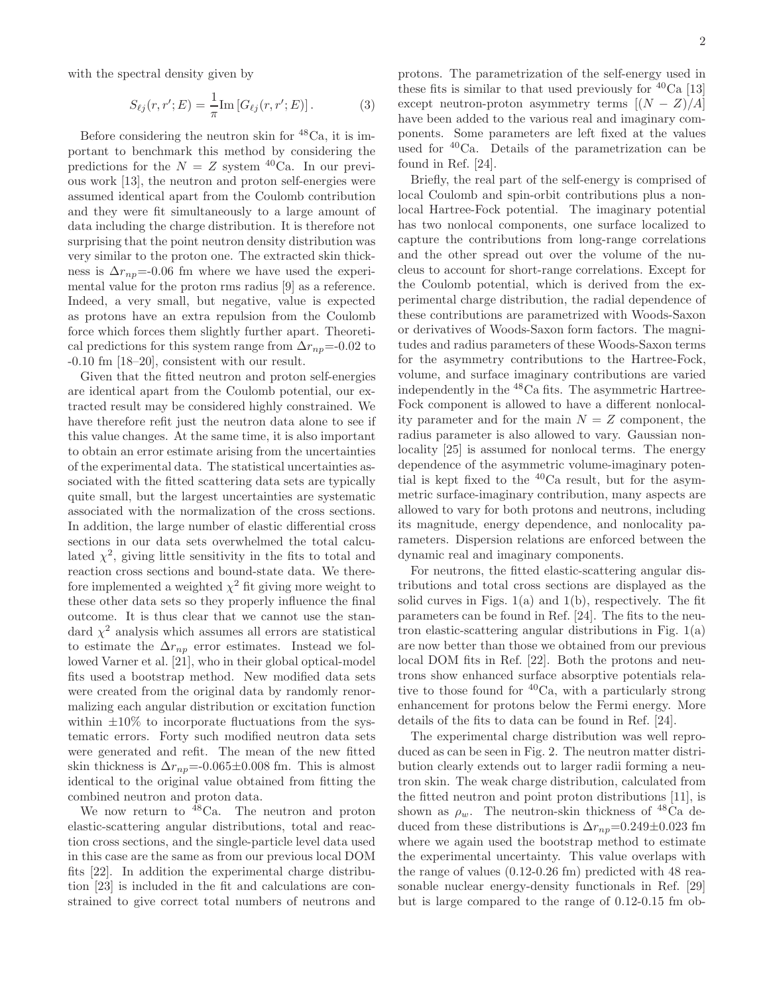with the spectral density given by

$$
S_{\ell j}(r, r'; E) = \frac{1}{\pi} \text{Im} \left[ G_{\ell j}(r, r'; E) \right]. \tag{3}
$$

Before considering the neutron skin for <sup>48</sup>Ca, it is important to benchmark this method by considering the predictions for the  $N = Z$  system <sup>40</sup>Ca. In our previous work [13], the neutron and proton self-energies were assumed identical apart from the Coulomb contribution and they were fit simultaneously to a large amount of data including the charge distribution. It is therefore not surprising that the point neutron density distribution was very similar to the proton one. The extracted skin thickness is  $\Delta r_{np}$ =-0.06 fm where we have used the experimental value for the proton rms radius [9] as a reference. Indeed, a very small, but negative, value is expected as protons have an extra repulsion from the Coulomb force which forces them slightly further apart. Theoretical predictions for this system range from  $\Delta r_{np}$ =-0.02 to -0.10 fm [18–20], consistent with our result.

Given that the fitted neutron and proton self-energies are identical apart from the Coulomb potential, our extracted result may be considered highly constrained. We have therefore refit just the neutron data alone to see if this value changes. At the same time, it is also important to obtain an error estimate arising from the uncertainties of the experimental data. The statistical uncertainties associated with the fitted scattering data sets are typically quite small, but the largest uncertainties are systematic associated with the normalization of the cross sections. In addition, the large number of elastic differential cross sections in our data sets overwhelmed the total calculated  $\chi^2$ , giving little sensitivity in the fits to total and reaction cross sections and bound-state data. We therefore implemented a weighted  $\chi^2$  fit giving more weight to these other data sets so they properly influence the final outcome. It is thus clear that we cannot use the standard  $\chi^2$  analysis which assumes all errors are statistical to estimate the  $\Delta r_{np}$  error estimates. Instead we followed Varner et al. [21], who in their global optical-model fits used a bootstrap method. New modified data sets were created from the original data by randomly renormalizing each angular distribution or excitation function within  $\pm 10\%$  to incorporate fluctuations from the systematic errors. Forty such modified neutron data sets were generated and refit. The mean of the new fitted skin thickness is  $\Delta r_{np}$ =-0.065±0.008 fm. This is almost identical to the original value obtained from fitting the combined neutron and proton data.

We now return to <sup>48</sup>Ca. The neutron and proton elastic-scattering angular distributions, total and reaction cross sections, and the single-particle level data used in this case are the same as from our previous local DOM fits [22]. In addition the experimental charge distribution [23] is included in the fit and calculations are constrained to give correct total numbers of neutrons and

protons. The parametrization of the self-energy used in these fits is similar to that used previously for  ${}^{40}Ca$  [13] except neutron-proton asymmetry terms  $[(N - Z)/A]$ have been added to the various real and imaginary components. Some parameters are left fixed at the values used for  ${}^{40}$ Ca. Details of the parametrization can be found in Ref. [24].

Briefly, the real part of the self-energy is comprised of local Coulomb and spin-orbit contributions plus a nonlocal Hartree-Fock potential. The imaginary potential has two nonlocal components, one surface localized to capture the contributions from long-range correlations and the other spread out over the volume of the nucleus to account for short-range correlations. Except for the Coulomb potential, which is derived from the experimental charge distribution, the radial dependence of these contributions are parametrized with Woods-Saxon or derivatives of Woods-Saxon form factors. The magnitudes and radius parameters of these Woods-Saxon terms for the asymmetry contributions to the Hartree-Fock, volume, and surface imaginary contributions are varied independently in the  $^{48}\mathrm{Ca}$  fits. The asymmetric Hartree-Fock component is allowed to have a different nonlocality parameter and for the main  $N = Z$  component, the radius parameter is also allowed to vary. Gaussian nonlocality [25] is assumed for nonlocal terms. The energy dependence of the asymmetric volume-imaginary potential is kept fixed to the  ${}^{40}$ Ca result, but for the asymmetric surface-imaginary contribution, many aspects are allowed to vary for both protons and neutrons, including its magnitude, energy dependence, and nonlocality parameters. Dispersion relations are enforced between the dynamic real and imaginary components.

For neutrons, the fitted elastic-scattering angular distributions and total cross sections are displayed as the solid curves in Figs.  $1(a)$  and  $1(b)$ , respectively. The fit parameters can be found in Ref. [24]. The fits to the neutron elastic-scattering angular distributions in Fig. 1(a) are now better than those we obtained from our previous local DOM fits in Ref. [22]. Both the protons and neutrons show enhanced surface absorptive potentials relative to those found for <sup>40</sup>Ca, with a particularly strong enhancement for protons below the Fermi energy. More details of the fits to data can be found in Ref. [24].

The experimental charge distribution was well reproduced as can be seen in Fig. 2. The neutron matter distribution clearly extends out to larger radii forming a neutron skin. The weak charge distribution, calculated from the fitted neutron and point proton distributions [11], is shown as  $\rho_w$ . The neutron-skin thickness of <sup>48</sup>Ca deduced from these distributions is  $\Delta r_{np}$ =0.249±0.023 fm where we again used the bootstrap method to estimate the experimental uncertainty. This value overlaps with the range of values (0.12-0.26 fm) predicted with 48 reasonable nuclear energy-density functionals in Ref. [29] but is large compared to the range of 0.12-0.15 fm ob-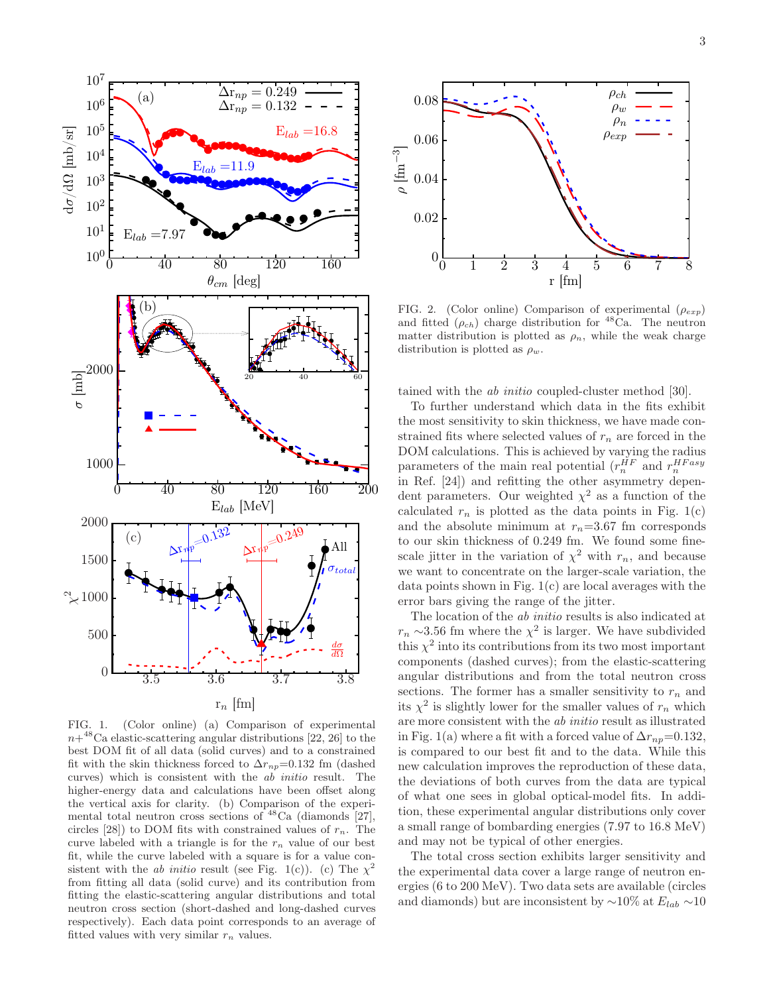

FIG. 1. (Color online) (a) Comparison of experimental  $n+^{48}$ Ca elastic-scattering angular distributions [22, 26] to the best DOM fit of all data (solid curves) and to a constrained fit with the skin thickness forced to  $\Delta r_{np}=0.132$  fm (dashed curves) which is consistent with the ab initio result. The higher-energy data and calculations have been offset along the vertical axis for clarity. (b) Comparison of the experimental total neutron cross sections of  $^{48}$ Ca (diamonds [27], circles [28]) to DOM fits with constrained values of  $r_n$ . The curve labeled with a triangle is for the  $r_n$  value of our best fit, while the curve labeled with a square is for a value consistent with the *ab initio* result (see Fig. 1(c)). (c) The  $\chi^2$ from fitting all data (solid curve) and its contribution from fitting the elastic-scattering angular distributions and total neutron cross section (short-dashed and long-dashed curves respectively). Each data point corresponds to an average of fitted values with very similar  $r_n$  values.



FIG. 2. (Color online) Comparison of experimental  $(\rho_{exp})$ and fitted  $(\rho_{ch})$  charge distribution for <sup>48</sup>Ca. The neutron matter distribution is plotted as  $\rho_n$ , while the weak charge distribution is plotted as  $\rho_w$ .

tained with the ab initio coupled-cluster method [30].

To further understand which data in the fits exhibit the most sensitivity to skin thickness, we have made constrained fits where selected values of  $r_n$  are forced in the DOM calculations. This is achieved by varying the radius parameters of the main real potential  $(r_n^{HF}$  and  $r_n^{HFasy}$ in Ref. [24]) and refitting the other asymmetry dependent parameters. Our weighted  $\chi^2$  as a function of the calculated  $r_n$  is plotted as the data points in Fig. 1(c) and the absolute minimum at  $r_n=3.67$  fm corresponds to our skin thickness of 0.249 fm. We found some finescale jitter in the variation of  $\chi^2$  with  $r_n$ , and because we want to concentrate on the larger-scale variation, the data points shown in Fig. 1(c) are local averages with the error bars giving the range of the jitter.

The location of the ab initio results is also indicated at  $r_n \sim 3.56$  fm where the  $\chi^2$  is larger. We have subdivided this  $\chi^2$  into its contributions from its two most important components (dashed curves); from the elastic-scattering angular distributions and from the total neutron cross sections. The former has a smaller sensitivity to  $r_n$  and its  $\chi^2$  is slightly lower for the smaller values of  $r_n$  which are more consistent with the ab initio result as illustrated in Fig. 1(a) where a fit with a forced value of  $\Delta r_{np}=0.132$ , is compared to our best fit and to the data. While this new calculation improves the reproduction of these data, the deviations of both curves from the data are typical of what one sees in global optical-model fits. In addition, these experimental angular distributions only cover a small range of bombarding energies (7.97 to 16.8 MeV) and may not be typical of other energies.

The total cross section exhibits larger sensitivity and the experimental data cover a large range of neutron energies (6 to 200 MeV). Two data sets are available (circles and diamonds) but are inconsistent by  $\sim$ 10% at  $E_{lab} \sim$ 10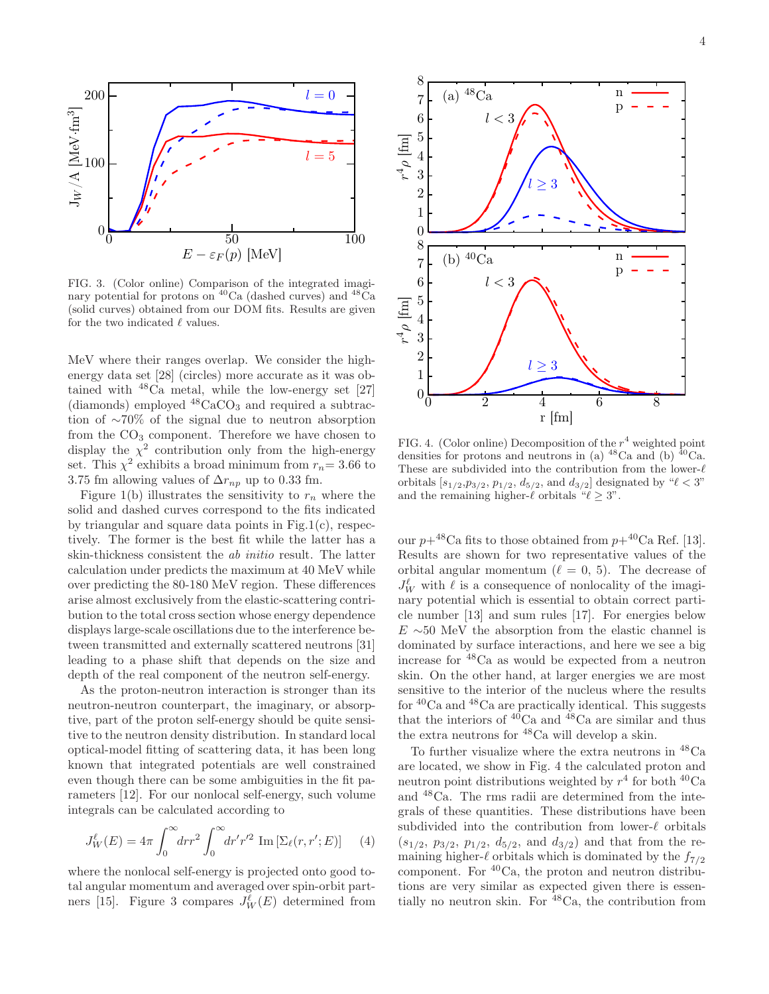

FIG. 3. (Color online) Comparison of the integrated imaginary potential for protons on  ${}^{40}$ Ca (dashed curves) and  ${}^{48}$ Ca (solid curves) obtained from our DOM fits. Results are given for the two indicated  $\ell$  values.

MeV where their ranges overlap. We consider the highenergy data set [28] (circles) more accurate as it was obtained with <sup>48</sup>Ca metal, while the low-energy set [27] (diamonds) employed  $48CaCO<sub>3</sub>$  and required a subtraction of ∼70% of the signal due to neutron absorption from the  $CO<sub>3</sub>$  component. Therefore we have chosen to display the  $\chi^2$  contribution only from the high-energy set. This  $\chi^2$  exhibits a broad minimum from  $r_n = 3.66$  to 3.75 fm allowing values of  $\Delta r_{np}$  up to 0.33 fm.

Figure 1(b) illustrates the sensitivity to  $r_n$  where the solid and dashed curves correspond to the fits indicated by triangular and square data points in Fig.1(c), respectively. The former is the best fit while the latter has a skin-thickness consistent the ab initio result. The latter calculation under predicts the maximum at 40 MeV while over predicting the 80-180 MeV region. These differences arise almost exclusively from the elastic-scattering contribution to the total cross section whose energy dependence displays large-scale oscillations due to the interference between transmitted and externally scattered neutrons [31] leading to a phase shift that depends on the size and depth of the real component of the neutron self-energy.

As the proton-neutron interaction is stronger than its neutron-neutron counterpart, the imaginary, or absorptive, part of the proton self-energy should be quite sensitive to the neutron density distribution. In standard local optical-model fitting of scattering data, it has been long known that integrated potentials are well constrained even though there can be some ambiguities in the fit parameters [12]. For our nonlocal self-energy, such volume integrals can be calculated according to

$$
J_W^{\ell}(E) = 4\pi \int_0^{\infty} dr r^2 \int_0^{\infty} dr' r'^2 \operatorname{Im} \left[ \Sigma_{\ell}(r, r'; E) \right] \tag{4}
$$

where the nonlocal self-energy is projected onto good total angular momentum and averaged over spin-orbit partners [15]. Figure 3 compares  $J_W^{\ell}(E)$  determined from



FIG. 4. (Color online) Decomposition of the  $r^4$  weighted point densities for protons and neutrons in (a)  $^{48}$ Ca and (b)  $^{40}$ Ca. These are subdivided into the contribution from the lower-ℓ orbitals  $[s_{1/2}, p_{3/2}, p_{1/2}, d_{5/2}, \text{ and } d_{3/2}]$  designated by " $\ell < 3$ " and the remaining higher- $\ell$  orbitals " $\ell \geq 3$ ".

our  $p+48$ Ca fits to those obtained from  $p+40$ Ca Ref. [13]. Results are shown for two representative values of the orbital angular momentum ( $\ell = 0, 5$ ). The decrease of  $J_W^{\ell}$  with  $\ell$  is a consequence of nonlocality of the imaginary potential which is essential to obtain correct particle number [13] and sum rules [17]. For energies below  $E \sim 50$  MeV the absorption from the elastic channel is dominated by surface interactions, and here we see a big increase for <sup>48</sup>Ca as would be expected from a neutron skin. On the other hand, at larger energies we are most sensitive to the interior of the nucleus where the results for  $40$ Ca and  $48$ Ca are practically identical. This suggests that the interiors of  $40^{\circ}$ Ca and  $48^{\circ}$ Ca are similar and thus the extra neutrons for <sup>48</sup>Ca will develop a skin.

To further visualize where the extra neutrons in <sup>48</sup>Ca are located, we show in Fig. 4 the calculated proton and neutron point distributions weighted by  $r^4$  for both <sup>40</sup>Ca and <sup>48</sup>Ca. The rms radii are determined from the integrals of these quantities. These distributions have been subdivided into the contribution from lower-ℓ orbitals  $(s_{1/2}, p_{3/2}, p_{1/2}, d_{5/2}, \text{ and } d_{3/2})$  and that from the remaining higher- $\ell$  orbitals which is dominated by the  $f_{7/2}$ component. For  ${}^{40}Ca$ , the proton and neutron distributions are very similar as expected given there is essentially no neutron skin. For  $48Ca$ , the contribution from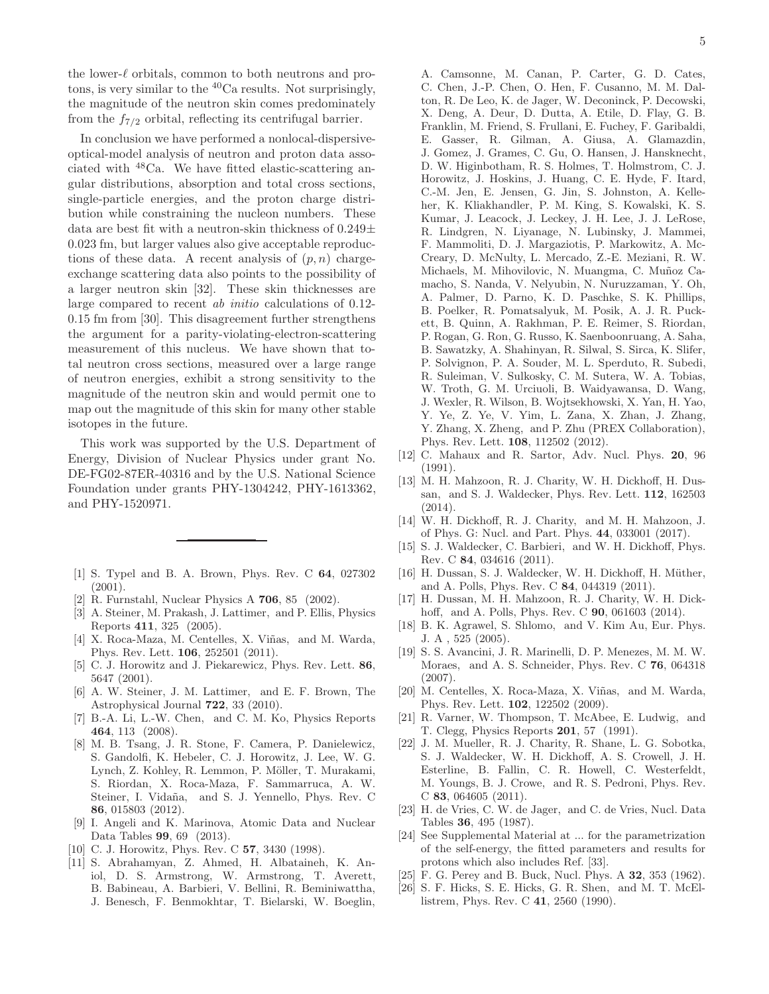the lower-ℓ orbitals, common to both neutrons and protons, is very similar to the  ${}^{40}$ Ca results. Not surprisingly, the magnitude of the neutron skin comes predominately from the  $f_{7/2}$  orbital, reflecting its centrifugal barrier.

In conclusion we have performed a nonlocal-dispersiveoptical-model analysis of neutron and proton data associated with <sup>48</sup>Ca. We have fitted elastic-scattering angular distributions, absorption and total cross sections, single-particle energies, and the proton charge distribution while constraining the nucleon numbers. These data are best fit with a neutron-skin thickness of  $0.249\pm$ 0.023 fm, but larger values also give acceptable reproductions of these data. A recent analysis of  $(p, n)$  chargeexchange scattering data also points to the possibility of a larger neutron skin [32]. These skin thicknesses are large compared to recent ab initio calculations of 0.12- 0.15 fm from [30]. This disagreement further strengthens the argument for a parity-violating-electron-scattering measurement of this nucleus. We have shown that total neutron cross sections, measured over a large range of neutron energies, exhibit a strong sensitivity to the magnitude of the neutron skin and would permit one to map out the magnitude of this skin for many other stable isotopes in the future.

This work was supported by the U.S. Department of Energy, Division of Nuclear Physics under grant No. DE-FG02-87ER-40316 and by the U.S. National Science Foundation under grants PHY-1304242, PHY-1613362, and PHY-1520971.

- [1] S. Typel and B. A. Brown, Phys. Rev. C 64, 027302 (2001).
- [2] R. Furnstahl, Nuclear Physics A 706, 85 (2002).
- [3] A. Steiner, M. Prakash, J. Lattimer, and P. Ellis, Physics Reports 411, 325 (2005).
- [4] X. Roca-Maza, M. Centelles, X. Viñas, and M. Warda, Phys. Rev. Lett. 106, 252501 (2011).
- [5] C. J. Horowitz and J. Piekarewicz, Phys. Rev. Lett. 86, 5647 (2001).
- [6] A. W. Steiner, J. M. Lattimer, and E. F. Brown, The Astrophysical Journal 722, 33 (2010).
- [7] B.-A. Li, L.-W. Chen, and C. M. Ko, Physics Reports 464, 113 (2008).
- [8] M. B. Tsang, J. R. Stone, F. Camera, P. Danielewicz, S. Gandolfi, K. Hebeler, C. J. Horowitz, J. Lee, W. G. Lynch, Z. Kohley, R. Lemmon, P. Möller, T. Murakami, S. Riordan, X. Roca-Maza, F. Sammarruca, A. W. Steiner, I. Vidaña, and S. J. Yennello, Phys. Rev. C 86, 015803 (2012).
- [9] I. Angeli and K. Marinova, Atomic Data and Nuclear Data Tables 99, 69 (2013).
- [10] C. J. Horowitz, Phys. Rev. C **57**, 3430 (1998).
- [11] S. Abrahamyan, Z. Ahmed, H. Albataineh, K. Aniol, D. S. Armstrong, W. Armstrong, T. Averett, B. Babineau, A. Barbieri, V. Bellini, R. Beminiwattha, J. Benesch, F. Benmokhtar, T. Bielarski, W. Boeglin,

A. Camsonne, M. Canan, P. Carter, G. D. Cates, C. Chen, J.-P. Chen, O. Hen, F. Cusanno, M. M. Dalton, R. De Leo, K. de Jager, W. Deconinck, P. Decowski, X. Deng, A. Deur, D. Dutta, A. Etile, D. Flay, G. B. Franklin, M. Friend, S. Frullani, E. Fuchey, F. Garibaldi, E. Gasser, R. Gilman, A. Giusa, A. Glamazdin, J. Gomez, J. Grames, C. Gu, O. Hansen, J. Hansknecht, D. W. Higinbotham, R. S. Holmes, T. Holmstrom, C. J. Horowitz, J. Hoskins, J. Huang, C. E. Hyde, F. Itard, C.-M. Jen, E. Jensen, G. Jin, S. Johnston, A. Kelleher, K. Kliakhandler, P. M. King, S. Kowalski, K. S. Kumar, J. Leacock, J. Leckey, J. H. Lee, J. J. LeRose, R. Lindgren, N. Liyanage, N. Lubinsky, J. Mammei, F. Mammoliti, D. J. Margaziotis, P. Markowitz, A. Mc-Creary, D. McNulty, L. Mercado, Z.-E. Meziani, R. W. Michaels, M. Mihovilovic, N. Muangma, C. Muñoz Camacho, S. Nanda, V. Nelyubin, N. Nuruzzaman, Y. Oh, A. Palmer, D. Parno, K. D. Paschke, S. K. Phillips, B. Poelker, R. Pomatsalyuk, M. Posik, A. J. R. Puckett, B. Quinn, A. Rakhman, P. E. Reimer, S. Riordan, P. Rogan, G. Ron, G. Russo, K. Saenboonruang, A. Saha, B. Sawatzky, A. Shahinyan, R. Silwal, S. Sirca, K. Slifer, P. Solvignon, P. A. Souder, M. L. Sperduto, R. Subedi, R. Suleiman, V. Sulkosky, C. M. Sutera, W. A. Tobias, W. Troth, G. M. Urciuoli, B. Waidyawansa, D. Wang, J. Wexler, R. Wilson, B. Wojtsekhowski, X. Yan, H. Yao, Y. Ye, Z. Ye, V. Yim, L. Zana, X. Zhan, J. Zhang, Y. Zhang, X. Zheng, and P. Zhu (PREX Collaboration), Phys. Rev. Lett. 108, 112502 (2012).

- [12] C. Mahaux and R. Sartor, Adv. Nucl. Phys. 20, 96  $(1991)$ .
- [13] M. H. Mahzoon, R. J. Charity, W. H. Dickhoff, H. Dussan, and S. J. Waldecker, Phys. Rev. Lett. 112, 162503 (2014).
- [14] W. H. Dickhoff, R. J. Charity, and M. H. Mahzoon, J. of Phys. G: Nucl. and Part. Phys. 44, 033001 (2017).
- [15] S. J. Waldecker, C. Barbieri, and W. H. Dickhoff, Phys. Rev. C 84, 034616 (2011).
- [16] H. Dussan, S. J. Waldecker, W. H. Dickhoff, H. Müther, and A. Polls, Phys. Rev. C 84, 044319 (2011).
- [17] H. Dussan, M. H. Mahzoon, R. J. Charity, W. H. Dickhoff, and A. Polls, Phys. Rev. C 90, 061603 (2014).
- [18] B. K. Agrawel, S. Shlomo, and V. Kim Au, Eur. Phys. J. A , 525 (2005).
- [19] S. S. Avancini, J. R. Marinelli, D. P. Menezes, M. M. W. Moraes, and A. S. Schneider, Phys. Rev. C 76, 064318 (2007).
- [20] M. Centelles, X. Roca-Maza, X. Viñas, and M. Warda, Phys. Rev. Lett. 102, 122502 (2009).
- [21] R. Varner, W. Thompson, T. McAbee, E. Ludwig, and T. Clegg, Physics Reports 201, 57 (1991).
- [22] J. M. Mueller, R. J. Charity, R. Shane, L. G. Sobotka, S. J. Waldecker, W. H. Dickhoff, A. S. Crowell, J. H. Esterline, B. Fallin, C. R. Howell, C. Westerfeldt, M. Youngs, B. J. Crowe, and R. S. Pedroni, Phys. Rev. C 83, 064605 (2011).
- [23] H. de Vries, C. W. de Jager, and C. de Vries, Nucl. Data Tables 36, 495 (1987).
- [24] See Supplemental Material at ... for the parametrization of the self-energy, the fitted parameters and results for protons which also includes Ref. [33].
- [25] F. G. Perey and B. Buck, Nucl. Phys. A 32, 353 (1962).
- [26] S. F. Hicks, S. E. Hicks, G. R. Shen, and M. T. McEllistrem, Phys. Rev. C 41, 2560 (1990).